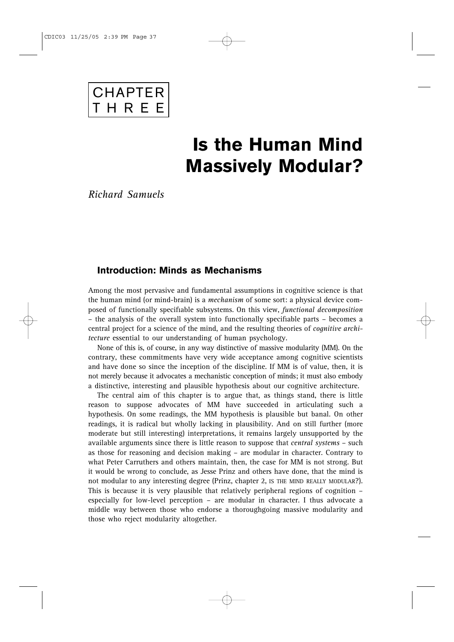**CHAPTER** THREE

# **Is the Human Mind Massively Modular?**

*Richard Samuels*

# **Introduction: Minds as Mechanisms**

Among the most pervasive and fundamental assumptions in cognitive science is that the human mind (or mind-brain) is a *mechanism* of some sort: a physical device composed of functionally specifiable subsystems. On this view, *functional decomposition* – the analysis of the overall system into functionally specifiable parts – becomes a central project for a science of the mind, and the resulting theories of *cognitive architecture* essential to our understanding of human psychology.

None of this is, of course, in any way distinctive of massive modularity (MM). On the contrary, these commitments have very wide acceptance among cognitive scientists and have done so since the inception of the discipline. If MM is of value, then, it is not merely because it advocates a mechanistic conception of minds; it must also embody a distinctive, interesting and plausible hypothesis about our cognitive architecture.

The central aim of this chapter is to argue that, as things stand, there is little reason to suppose advocates of MM have succeeded in articulating such a hypothesis. On some readings, the MM hypothesis is plausible but banal. On other readings, it is radical but wholly lacking in plausibility. And on still further (more moderate but still interesting) interpretations, it remains largely unsupported by the available arguments since there is little reason to suppose that *central systems* – such as those for reasoning and decision making – are modular in character. Contrary to what Peter Carruthers and others maintain, then, the case for MM is not strong. But it would be wrong to conclude, as Jesse Prinz and others have done, that the mind is not modular to any interesting degree (Prinz, chapter 2, IS THE MIND REALLY MODULAR?). This is because it is very plausible that relatively peripheral regions of cognition – especially for low-level perception – are modular in character. I thus advocate a middle way between those who endorse a thoroughgoing massive modularity and those who reject modularity altogether.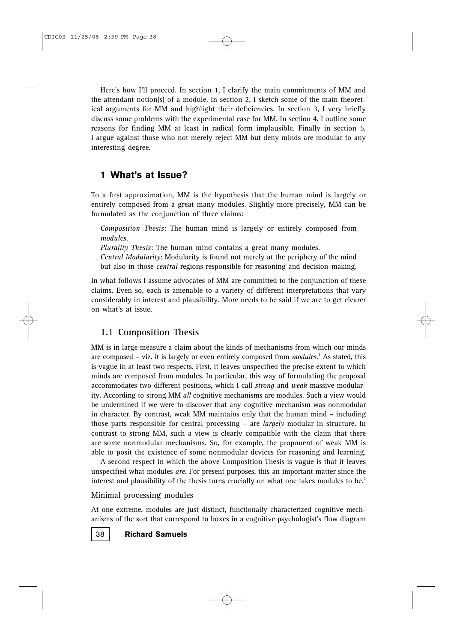Here's how I'll proceed. In section 1, I clarify the main commitments of MM and the attendant notion(s) of a module. In section 2, I sketch some of the main theoretical arguments for MM and highlight their deficiencies. In section 3, I very briefly discuss some problems with the experimental case for MM. In section 4, I outline some reasons for finding MM at least in radical form implausible. Finally in section 5, I argue against those who not merely reject MM but deny minds are modular to any interesting degree.

# **1 What's at Issue?**

To a first approximation, MM is the hypothesis that the human mind is largely or entirely composed from a great many modules. Slightly more precisely, MM can be formulated as the conjunction of three claims:

*Composition Thesis*: The human mind is largely or entirely composed from *modules*.

*Plurality Thesis*: The human mind contains a great many modules.

*Central Modularity*: Modularity is found not merely at the periphery of the mind but also in those *central* regions responsible for reasoning and decision-making.

In what follows I assume advocates of MM are committed to the conjunction of these claims. Even so, each is amenable to a variety of different interpretations that vary considerably in interest and plausibility. More needs to be said if we are to get clearer on what's at issue.

# **1.1 Composition Thesis**

MM is in large measure a claim about the kinds of mechanisms from which our minds are composed – viz. it is largely or even entirely composed from *modules*. <sup>1</sup> As stated, this is vague in at least two respects. First, it leaves unspecified the precise extent to which minds are composed from modules. In particular, this way of formulating the proposal accommodates two different positions, which I call *strong* and *weak* massive modularity. According to strong MM *all* cognitive mechanisms are modules. Such a view would be undermined if we were to discover that any cognitive mechanism was nonmodular in character. By contrast, weak MM maintains only that the human mind – including those parts responsible for central processing – are *largely* modular in structure. In contrast to strong MM, such a view is clearly compatible with the claim that there are some nonmodular mechanisms. So, for example, the proponent of weak MM is able to posit the existence of some nonmodular devices for reasoning and learning.

A second respect in which the above Composition Thesis is vague is that it leaves unspecified what modules *are*. For present purposes, this an important matter since the interest and plausibility of the thesis turns crucially on what one takes modules to be. $2$ 

#### Minimal processing modules

At one extreme, modules are just distinct, functionally characterized cognitive mechanisms of the sort that correspond to boxes in a cognitive psychologist's flow diagram

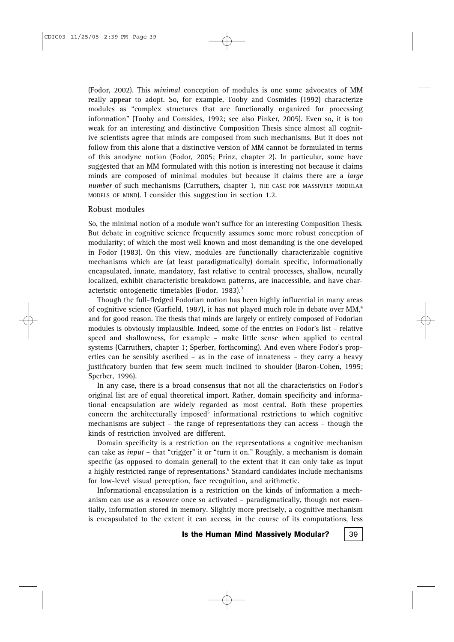(Fodor, 2002). This *minimal* conception of modules is one some advocates of MM really appear to adopt. So, for example, Tooby and Cosmides (1992) characterize modules as "complex structures that are functionally organized for processing information" (Tooby and Comsides, 1992; see also Pinker, 2005). Even so, it is too weak for an interesting and distinctive Composition Thesis since almost all cognitive scientists agree that minds are composed from such mechanisms. But it does not follow from this alone that a distinctive version of MM cannot be formulated in terms of this anodyne notion (Fodor, 2005; Prinz, chapter 2). In particular, some have suggested that an MM formulated with this notion is interesting not because it claims minds are composed of minimal modules but because it claims there are a *large number* of such mechanisms (Carruthers, chapter 1, THE CASE FOR MASSIVELY MODULAR MODELS OF MIND). I consider this suggestion in section 1.2.

#### Robust modules

So, the minimal notion of a module won't suffice for an interesting Composition Thesis. But debate in cognitive science frequently assumes some more robust conception of modularity; of which the most well known and most demanding is the one developed in Fodor (1983). On this view, modules are functionally characterizable cognitive mechanisms which are (at least paradigmatically) domain specific, informationally encapsulated, innate, mandatory, fast relative to central processes, shallow, neurally localized, exhibit characteristic breakdown patterns, are inaccessible, and have characteristic ontogenetic timetables (Fodor, 1983).<sup>3</sup>

Though the full-fledged Fodorian notion has been highly influential in many areas of cognitive science (Garfield, 1987), it has not played much role in debate over MM,<sup>4</sup> and for good reason. The thesis that minds are largely or entirely composed of Fodorian modules is obviously implausible. Indeed, some of the entries on Fodor's list – relative speed and shallowness, for example – make little sense when applied to central systems (Carruthers, chapter 1; Sperber, forthcoming). And even where Fodor's properties can be sensibly ascribed – as in the case of innateness – they carry a heavy justificatory burden that few seem much inclined to shoulder (Baron-Cohen, 1995; Sperber, 1996).

In any case, there is a broad consensus that not all the characteristics on Fodor's original list are of equal theoretical import. Rather, domain specificity and informational encapsulation are widely regarded as most central. Both these properties concern the architecturally imposed<sup>5</sup> informational restrictions to which cognitive mechanisms are subject – the range of representations they can access – though the kinds of restriction involved are different.

Domain specificity is a restriction on the representations a cognitive mechanism can take as *input* – that "trigger" it or "turn it on." Roughly, a mechanism is domain specific (as opposed to domain general) to the extent that it can only take as input a highly restricted range of representations.<sup>6</sup> Standard candidates include mechanisms for low-level visual perception, face recognition, and arithmetic.

Informational encapsulation is a restriction on the kinds of information a mechanism can use as a *resource* once so activated – paradigmatically, though not essentially, information stored in memory. Slightly more precisely, a cognitive mechanism is encapsulated to the extent it can access, in the course of its computations, less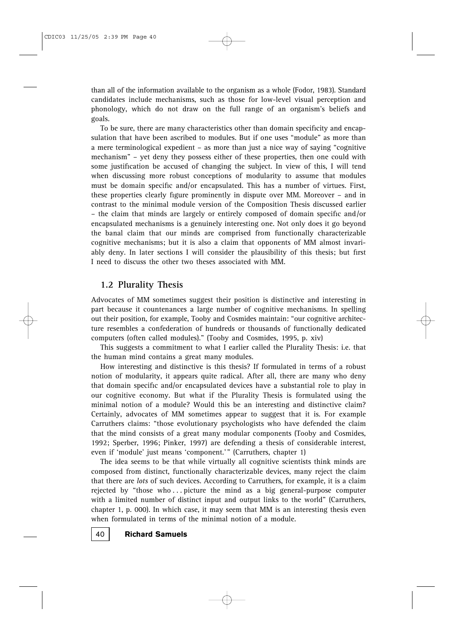than all of the information available to the organism as a whole (Fodor, 1983). Standard candidates include mechanisms, such as those for low-level visual perception and phonology, which do not draw on the full range of an organism's beliefs and goals.

To be sure, there are many characteristics other than domain specificity and encapsulation that have been ascribed to modules. But if one uses "module" as more than a mere terminological expedient – as more than just a nice way of saying "cognitive mechanism" – yet deny they possess either of these properties, then one could with some justification be accused of changing the subject. In view of this, I will tend when discussing more robust conceptions of modularity to assume that modules must be domain specific and/or encapsulated. This has a number of virtues. First, these properties clearly figure prominently in dispute over MM. Moreover – and in contrast to the minimal module version of the Composition Thesis discussed earlier – the claim that minds are largely or entirely composed of domain specific and/or encapsulated mechanisms is a genuinely interesting one. Not only does it go beyond the banal claim that our minds are comprised from functionally characterizable cognitive mechanisms; but it is also a claim that opponents of MM almost invariably deny. In later sections I will consider the plausibility of this thesis; but first I need to discuss the other two theses associated with MM.

# **1.2 Plurality Thesis**

Advocates of MM sometimes suggest their position is distinctive and interesting in part because it countenances a large number of cognitive mechanisms. In spelling out their position, for example, Tooby and Cosmides maintain: "our cognitive architecture resembles a confederation of hundreds or thousands of functionally dedicated computers (often called modules)." (Tooby and Cosmides, 1995, p. xiv)

This suggests a commitment to what I earlier called the Plurality Thesis: i.e. that the human mind contains a great many modules.

How interesting and distinctive is this thesis? If formulated in terms of a robust notion of modularity, it appears quite radical. After all, there are many who deny that domain specific and/or encapsulated devices have a substantial role to play in our cognitive economy. But what if the Plurality Thesis is formulated using the minimal notion of a module? Would this be an interesting and distinctive claim? Certainly, advocates of MM sometimes appear to suggest that it is. For example Carruthers claims: "those evolutionary psychologists who have defended the claim that the mind consists of a great many modular components (Tooby and Cosmides, 1992; Sperber, 1996; Pinker, 1997) are defending a thesis of considerable interest, even if 'module' just means 'component.'" (Carruthers, chapter 1)

The idea seems to be that while virtually all cognitive scientists think minds are composed from distinct, functionally characterizable devices, many reject the claim that there are *lots* of such devices. According to Carruthers, for example, it is a claim rejected by "those who . . . picture the mind as a big general-purpose computer with a limited number of distinct input and output links to the world" (Carruthers, chapter 1, p. 000). In which case, it may seem that MM is an interesting thesis even when formulated in terms of the minimal notion of a module.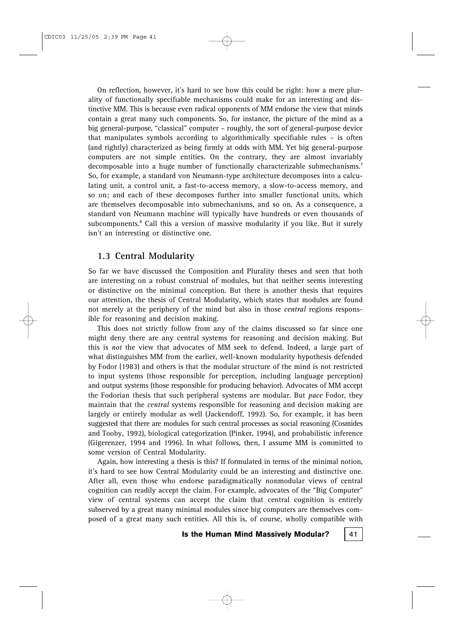On reflection, however, it's hard to see how this could be right: how a mere plurality of functionally specifiable mechanisms could make for an interesting and distinctive MM. This is because even radical opponents of MM endorse the view that minds contain a great many such components. So, for instance, the picture of the mind as a big general-purpose, "classical" computer – roughly, the sort of general-purpose device that manipulates symbols according to algorithmically specifiable rules – is often (and rightly) characterized as being firmly at odds with MM. Yet big general-purpose computers are not simple entities. On the contrary, they are almost invariably decomposable into a huge number of functionally characterizable submechanisms.7 So, for example, a standard von Neumann-type architecture decomposes into a calculating unit, a control unit, a fast-to-access memory, a slow-to-access memory, and so on; and each of these decomposes further into smaller functional units, which are themselves decomposable into submechanisms, and so on. As a consequence, a standard von Neumann machine will typically have hundreds or even thousands of subcomponents.<sup>8</sup> Call this a version of massive modularity if you like. But it surely isn't an interesting or distinctive one.

# **1.3 Central Modularity**

So far we have discussed the Composition and Plurality theses and seen that both are interesting on a robust construal of modules, but that neither seems interesting or distinctive on the minimal conception. But there is another thesis that requires our attention, the thesis of Central Modularity, which states that modules are found not merely at the periphery of the mind but also in those *central* regions responsible for reasoning and decision making.

This does not strictly follow from any of the claims discussed so far since one might deny there are any central systems for reasoning and decision making. But this is *not* the view that advocates of MM seek to defend. Indeed, a large part of what distinguishes MM from the earlier, well-known modularity hypothesis defended by Fodor (1983) and others is that the modular structure of the mind is not restricted to input systems (those responsible for perception, including language perception) and output systems (those responsible for producing behavior). Advocates of MM accept the Fodorian thesis that such peripheral systems are modular. But *pace* Fodor, they maintain that the *central* systems responsible for reasoning and decision making are largely or entirely modular as well (Jackendoff, 1992). So, for example, it has been suggested that there are modules for such central processes as social reasoning (Cosmides and Tooby, 1992), biological categorization (Pinker, 1994), and probabilistic inference (Gigerenzer, 1994 and 1996). In what follows, then, I assume MM is committed to some version of Central Modularity.

Again, how interesting a thesis is this? If formulated in terms of the minimal notion, it's hard to see how Central Modularity could be an interesting and distinctive one. After all, even those who endorse paradigmatically nonmodular views of central cognition can readily accept the claim. For example, advocates of the "Big Computer" view of central systems can accept the claim that central cognition is entirely subserved by a great many minimal modules since big computers are themselves composed of a great many such entities. All this is, of course, wholly compatible with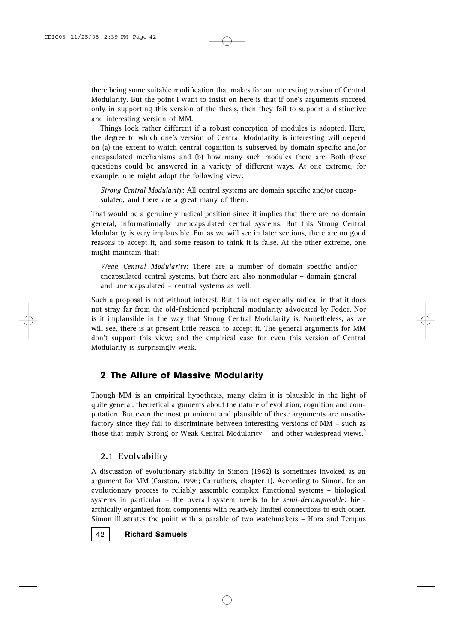there being some suitable modification that makes for an interesting version of Central Modularity. But the point I want to insist on here is that if one's arguments succeed only in supporting this version of the thesis, then they fail to support a distinctive and interesting version of MM.

Things look rather different if a robust conception of modules is adopted. Here, the degree to which one's version of Central Modularity is interesting will depend on (a) the extent to which central cognition is subserved by domain specific and/or encapsulated mechanisms and (b) how many such modules there are. Both these questions could be answered in a variety of different ways. At one extreme, for example, one might adopt the following view:

*Strong Central Modularity*: All central systems are domain specific and/or encapsulated, and there are a great many of them.

That would be a genuinely radical position since it implies that there are no domain general, informationally unencapsulated central systems. But this Strong Central Modularity is very implausible. For as we will see in later sections, there are no good reasons to accept it, and some reason to think it is false. At the other extreme, one might maintain that:

*Weak Central Modularity*: There are a number of domain specific and/or encapsulated central systems, but there are also nonmodular – domain general and unencapsulated – central systems as well.

Such a proposal is not without interest. But it is not especially radical in that it does not stray far from the old-fashioned peripheral modularity advocated by Fodor. Nor is it implausible in the way that Strong Central Modularity is. Nonetheless, as we will see, there is at present little reason to accept it. The general arguments for MM don't support this view; and the empirical case for even this version of Central Modularity is surprisingly weak.

# **2 The Allure of Massive Modularity**

Though MM is an empirical hypothesis, many claim it is plausible in the light of quite general, theoretical arguments about the nature of evolution, cognition and computation. But even the most prominent and plausible of these arguments are unsatisfactory since they fail to discriminate between interesting versions of MM – such as those that imply Strong or Weak Central Modularity – and other widespread views.<sup>9</sup>

# **2.1 Evolvability**

A discussion of evolutionary stability in Simon (1962) is sometimes invoked as an argument for MM (Carston, 1996; Carruthers, chapter 1). According to Simon, for an evolutionary process to reliably assemble complex functional systems – biological systems in particular – the overall system needs to be *semi-decomposable*: hierarchically organized from components with relatively limited connections to each other. Simon illustrates the point with a parable of two watchmakers – Hora and Tempus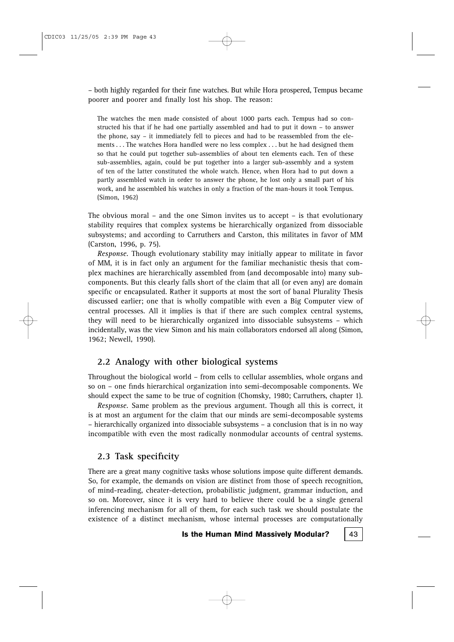– both highly regarded for their fine watches. But while Hora prospered, Tempus became poorer and poorer and finally lost his shop. The reason:

The watches the men made consisted of about 1000 parts each. Tempus had so constructed his that if he had one partially assembled and had to put it down – to answer the phone, say – it immediately fell to pieces and had to be reassembled from the elements... The watches Hora handled were no less complex . . . but he had designed them so that he could put together sub-assemblies of about ten elements each. Ten of these sub-assemblies, again, could be put together into a larger sub-assembly and a system of ten of the latter constituted the whole watch. Hence, when Hora had to put down a partly assembled watch in order to answer the phone, he lost only a small part of his work, and he assembled his watches in only a fraction of the man-hours it took Tempus. (Simon, 1962)

The obvious moral – and the one Simon invites us to accept – is that evolutionary stability requires that complex systems be hierarchically organized from dissociable subsystems; and according to Carruthers and Carston, this militates in favor of MM (Carston, 1996, p. 75).

*Response.* Though evolutionary stability may initially appear to militate in favor of MM, it is in fact only an argument for the familiar mechanistic thesis that complex machines are hierarchically assembled from (and decomposable into) many subcomponents. But this clearly falls short of the claim that all (or even any) are domain specific or encapsulated. Rather it supports at most the sort of banal Plurality Thesis discussed earlier; one that is wholly compatible with even a Big Computer view of central processes. All it implies is that if there are such complex central systems, they will need to be hierarchically organized into dissociable subsystems – which incidentally, was the view Simon and his main collaborators endorsed all along (Simon, 1962; Newell, 1990).

# **2.2 Analogy with other biological systems**

Throughout the biological world – from cells to cellular assemblies, whole organs and so on – one finds hierarchical organization into semi-decomposable components. We should expect the same to be true of cognition (Chomsky, 1980; Carruthers, chapter 1).

*Response.* Same problem as the previous argument. Though all this is correct, it is at most an argument for the claim that our minds are semi-decomposable systems – hierarchically organized into dissociable subsystems – a conclusion that is in no way incompatible with even the most radically nonmodular accounts of central systems.

# **2.3 Task specificity**

There are a great many cognitive tasks whose solutions impose quite different demands. So, for example, the demands on vision are distinct from those of speech recognition, of mind-reading, cheater-detection, probabilistic judgment, grammar induction, and so on. Moreover, since it is very hard to believe there could be a single general inferencing mechanism for all of them, for each such task we should postulate the existence of a distinct mechanism, whose internal processes are computationally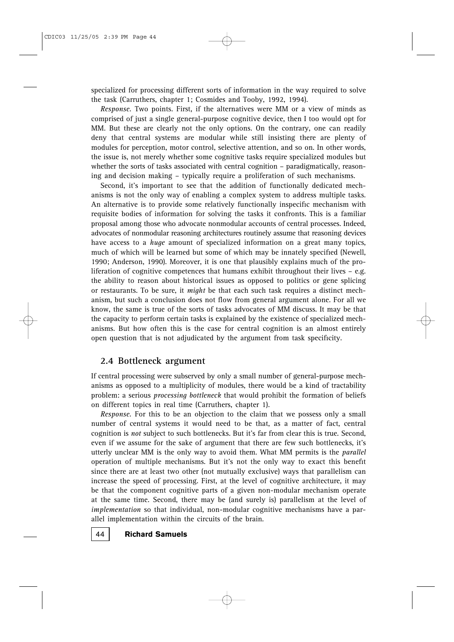specialized for processing different sorts of information in the way required to solve the task (Carruthers, chapter 1; Cosmides and Tooby, 1992, 1994).

*Response.* Two points. First, if the alternatives were MM or a view of minds as comprised of just a single general-purpose cognitive device, then I too would opt for MM. But these are clearly not the only options. On the contrary, one can readily deny that central systems are modular while still insisting there are plenty of modules for perception, motor control, selective attention, and so on. In other words, the issue is, not merely whether some cognitive tasks require specialized modules but whether the sorts of tasks associated with central cognition – paradigmatically, reasoning and decision making – typically require a proliferation of such mechanisms.

Second, it's important to see that the addition of functionally dedicated mechanisms is not the only way of enabling a complex system to address multiple tasks. An alternative is to provide some relatively functionally inspecific mechanism with requisite bodies of information for solving the tasks it confronts. This is a familiar proposal among those who advocate nonmodular accounts of central processes. Indeed, advocates of nonmodular reasoning architectures routinely assume that reasoning devices have access to a *huge* amount of specialized information on a great many topics, much of which will be learned but some of which may be innately specified (Newell, 1990; Anderson, 1990). Moreover, it is one that plausibly explains much of the proliferation of cognitive competences that humans exhibit throughout their lives  $-$  e.g. the ability to reason about historical issues as opposed to politics or gene splicing or restaurants. To be sure, it *might* be that each such task requires a distinct mechanism, but such a conclusion does not flow from general argument alone. For all we know, the same is true of the sorts of tasks advocates of MM discuss. It may be that the capacity to perform certain tasks is explained by the existence of specialized mechanisms. But how often this is the case for central cognition is an almost entirely open question that is not adjudicated by the argument from task specificity.

### **2.4 Bottleneck argument**

If central processing were subserved by only a small number of general-purpose mechanisms as opposed to a multiplicity of modules, there would be a kind of tractability problem: a serious *processing bottleneck* that would prohibit the formation of beliefs on different topics in real time (Carruthers, chapter 1).

*Response.* For this to be an objection to the claim that we possess only a small number of central systems it would need to be that, as a matter of fact, central cognition is *not* subject to such bottlenecks. But it's far from clear this is true. Second, even if we assume for the sake of argument that there are few such bottlenecks, it's utterly unclear MM is the only way to avoid them. What MM permits is the *parallel* operation of multiple mechanisms. But it's not the only way to exact this benefit since there are at least two other (not mutually exclusive) ways that parallelism can increase the speed of processing. First, at the level of cognitive architecture, it may be that the component cognitive parts of a given non-modular mechanism operate at the same time. Second, there may be (and surely is) parallelism at the level of *implementation* so that individual, non-modular cognitive mechanisms have a parallel implementation within the circuits of the brain.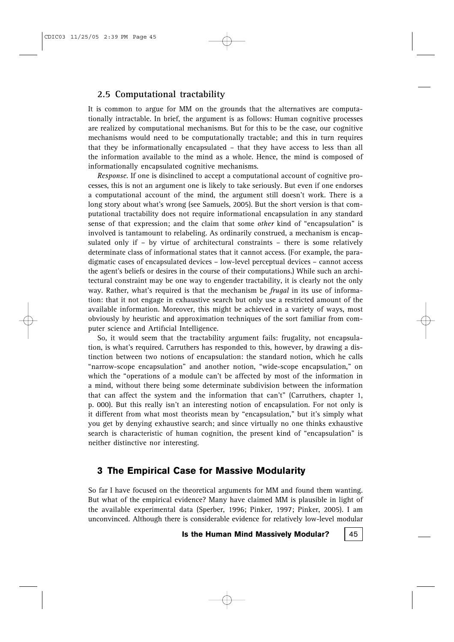# **2.5 Computational tractability**

It is common to argue for MM on the grounds that the alternatives are computationally intractable. In brief, the argument is as follows: Human cognitive processes are realized by computational mechanisms. But for this to be the case, our cognitive mechanisms would need to be computationally tractable; and this in turn requires that they be informationally encapsulated – that they have access to less than all the information available to the mind as a whole. Hence, the mind is composed of informationally encapsulated cognitive mechanisms.

*Response.* If one is disinclined to accept a computational account of cognitive processes, this is not an argument one is likely to take seriously. But even if one endorses a computational account of the mind, the argument still doesn't work. There is a long story about what's wrong (see Samuels, 2005). But the short version is that computational tractability does not require informational encapsulation in any standard sense of that expression; and the claim that some *other* kind of "encapsulation" is involved is tantamount to relabeling. As ordinarily construed, a mechanism is encapsulated only if – by virtue of architectural constraints – there is some relatively determinate class of informational states that it cannot access. (For example, the paradigmatic cases of encapsulated devices – low-level perceptual devices – cannot access the agent's beliefs or desires in the course of their computations.) While such an architectural constraint may be one way to engender tractability, it is clearly not the only way. Rather, what's required is that the mechanism be *frugal* in its use of information: that it not engage in exhaustive search but only use a restricted amount of the available information. Moreover, this might be achieved in a variety of ways, most obviously by heuristic and approximation techniques of the sort familiar from computer science and Artificial Intelligence.

So, it would seem that the tractability argument fails: frugality, not encapsulation, is what's required. Carruthers has responded to this, however, by drawing a distinction between two notions of encapsulation: the standard notion, which he calls "narrow-scope encapsulation" and another notion, "wide-scope encapsulation," on which the "operations of a module can't be affected by most of the information in a mind, without there being some determinate subdivision between the information that can affect the system and the information that can't" (Carruthers, chapter 1, p. 000). But this really isn't an interesting notion of encapsulation. For not only is it different from what most theorists mean by "encapsulation," but it's simply what you get by denying exhaustive search; and since virtually no one thinks exhaustive search is characteristic of human cognition, the present kind of "encapsulation" is neither distinctive nor interesting.

# **3 The Empirical Case for Massive Modularity**

So far I have focused on the theoretical arguments for MM and found them wanting. But what of the empirical evidence? Many have claimed MM is plausible in light of the available experimental data (Sperber, 1996; Pinker, 1997; Pinker, 2005). I am unconvinced. Although there is considerable evidence for relatively low-level modular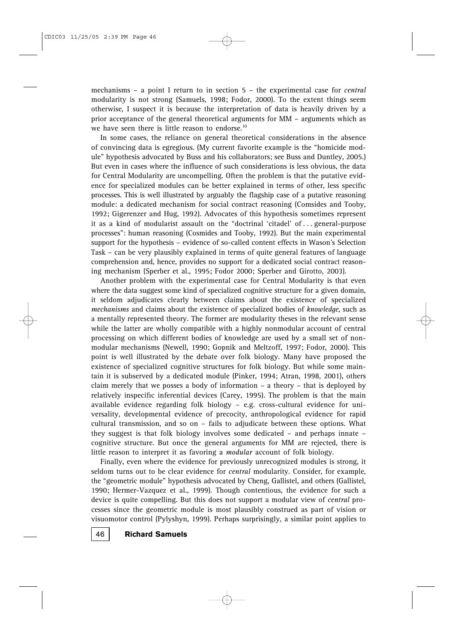mechanisms – a point I return to in section 5 – the experimental case for *central* modularity is not strong (Samuels, 1998; Fodor, 2000). To the extent things seem otherwise, I suspect it is because the interpretation of data is heavily driven by a prior acceptance of the general theoretical arguments for MM – arguments which as we have seen there is little reason to endorse.<sup>10</sup>

In some cases, the reliance on general theoretical considerations in the absence of convincing data is egregious. (My current favorite example is the "homicide module" hypothesis advocated by Buss and his collaborators; see Buss and Duntley, 2005.) But even in cases where the influence of such considerations is less obvious, the data for Central Modularity are uncompelling. Often the problem is that the putative evidence for specialized modules can be better explained in terms of other, less specific processes. This is well illustrated by arguably the flagship case of a putative reasoning module: a dedicated mechanism for social contract reasoning (Comsides and Tooby, 1992; Gigerenzer and Hug, 1992). Advocates of this hypothesis sometimes represent it as a kind of modularist assault on the "doctrinal 'citadel' of... general-purpose processes": human reasoning (Cosmides and Tooby, 1992). But the main experimental support for the hypothesis – evidence of so-called content effects in Wason's Selection Task – can be very plausibly explained in terms of quite general features of language comprehension and, hence, provides no support for a dedicated social contract reasoning mechanism (Sperber et al., 1995; Fodor 2000; Sperber and Girotto, 2003).

Another problem with the experimental case for Central Modularity is that even where the data suggest some kind of specialized cognitive structure for a given domain, it seldom adjudicates clearly between claims about the existence of specialized *mechanisms* and claims about the existence of specialized bodies of *knowledge*, such as a mentally represented theory*.* The former are modularity theses in the relevant sense while the latter are wholly compatible with a highly nonmodular account of central processing on which different bodies of knowledge are used by a small set of nonmodular mechanisms (Newell, 1990; Gopnik and Meltzoff, 1997; Fodor, 2000). This point is well illustrated by the debate over folk biology. Many have proposed the existence of specialized cognitive structures for folk biology. But while some maintain it is subserved by a dedicated module (Pinker, 1994; Atran, 1998, 2001), others claim merely that we posses a body of information – a theory – that is deployed by relatively inspecific inferential devices (Carey, 1995). The problem is that the main available evidence regarding folk biology – e.g. cross-cultural evidence for universality, developmental evidence of precocity, anthropological evidence for rapid cultural transmission, and so on – fails to adjudicate between these options. What they suggest is that folk biology involves some dedicated – and perhaps innate – cognitive structure. But once the general arguments for MM are rejected, there is little reason to interpret it as favoring a *modular* account of folk biology.

Finally, even where the evidence for previously unrecognized modules is strong, it seldom turns out to be clear evidence for *central* modularity. Consider, for example, the "geometric module" hypothesis advocated by Cheng, Gallistel, and others (Gallistel, 1990; Hermer-Vazquez et al., 1999). Though contentious, the evidence for such a device is quite compelling. But this does not support a modular view of *central* processes since the geometric module is most plausibly construed as part of vision or visuomotor control (Pylyshyn, 1999). Perhaps surprisingly, a similar point applies to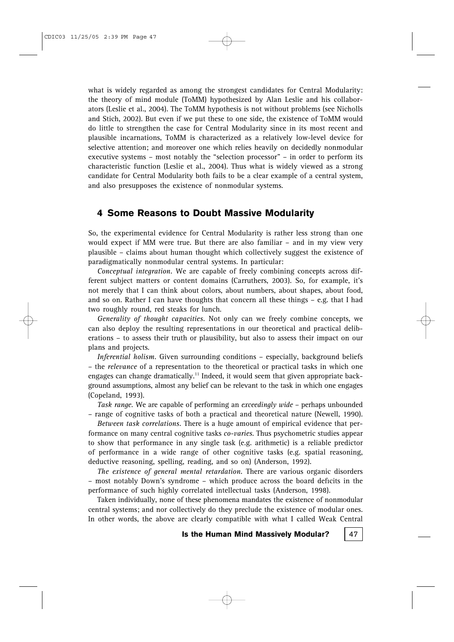what is widely regarded as among the strongest candidates for Central Modularity: the theory of mind module (ToMM) hypothesized by Alan Leslie and his collaborators (Leslie et al., 2004). The ToMM hypothesis is not without problems (see Nicholls and Stich, 2002). But even if we put these to one side, the existence of ToMM would do little to strengthen the case for Central Modularity since in its most recent and plausible incarnations, ToMM is characterized as a relatively low-level device for selective attention; and moreover one which relies heavily on decidedly nonmodular executive systems – most notably the "selection processor" – in order to perform its characteristic function (Leslie et al., 2004). Thus what is widely viewed as a strong candidate for Central Modularity both fails to be a clear example of a central system, and also presupposes the existence of nonmodular systems.

# **4 Some Reasons to Doubt Massive Modularity**

So, the experimental evidence for Central Modularity is rather less strong than one would expect if MM were true. But there are also familiar – and in my view very plausible – claims about human thought which collectively suggest the existence of paradigmatically nonmodular central systems. In particular:

*Conceptual integration.* We are capable of freely combining concepts across different subject matters or content domains (Carruthers, 2003). So, for example, it's not merely that I can think about colors, about numbers, about shapes, about food, and so on. Rather I can have thoughts that concern all these things – e.g. that I had two roughly round, red steaks for lunch.

*Generality of thought capacities.* Not only can we freely combine concepts, we can also deploy the resulting representations in our theoretical and practical deliberations – to assess their truth or plausibility, but also to assess their impact on our plans and projects.

*Inferential holism.* Given surrounding conditions – especially, background beliefs – the *relevance* of a representation to the theoretical or practical tasks in which one engages can change dramatically.<sup>11</sup> Indeed, it would seem that given appropriate background assumptions, almost any belief can be relevant to the task in which one engages (Copeland, 1993).

*Task range.* We are capable of performing an *exceedingly wide* – perhaps unbounded – range of cognitive tasks of both a practical and theoretical nature (Newell, 1990).

*Between task correlations.* There is a huge amount of empirical evidence that performance on many central cognitive tasks *co-varies*. Thus psychometric studies appear to show that performance in any single task (e.g. arithmetic) is a reliable predictor of performance in a wide range of other cognitive tasks (e.g. spatial reasoning, deductive reasoning, spelling, reading, and so on) (Anderson, 1992).

*The existence of general mental retardation.* There are various organic disorders – most notably Down's syndrome – which produce across the board deficits in the performance of such highly correlated intellectual tasks (Anderson, 1998).

Taken individually, none of these phenomena mandates the existence of nonmodular central systems; and nor collectively do they preclude the existence of modular ones. In other words, the above are clearly compatible with what I called Weak Central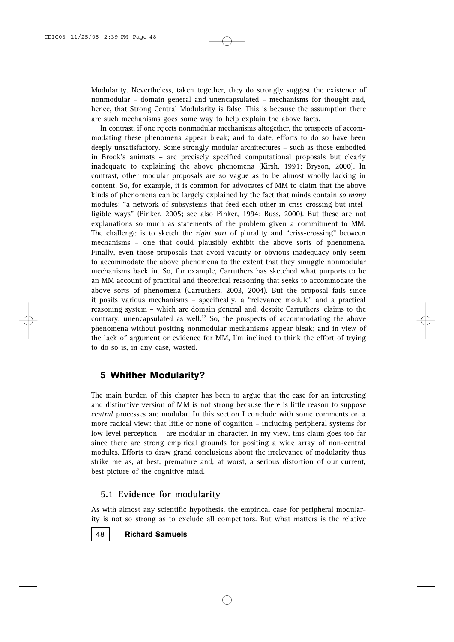Modularity. Nevertheless, taken together, they do strongly suggest the existence of nonmodular – domain general and unencapsulated – mechanisms for thought and, hence, that Strong Central Modularity is false. This is because the assumption there are such mechanisms goes some way to help explain the above facts.

In contrast, if one rejects nonmodular mechanisms altogether, the prospects of accommodating these phenomena appear bleak; and to date, efforts to do so have been deeply unsatisfactory. Some strongly modular architectures – such as those embodied in Brook's animats – are precisely specified computational proposals but clearly inadequate to explaining the above phenomena (Kirsh, 1991; Bryson, 2000). In contrast, other modular proposals are so vague as to be almost wholly lacking in content. So, for example, it is common for advocates of MM to claim that the above kinds of phenomena can be largely explained by the fact that minds contain *so many* modules: "a network of subsystems that feed each other in criss-crossing but intelligible ways" (Pinker, 2005; see also Pinker, 1994; Buss, 2000). But these are not explanations so much as statements of the problem given a commitment to MM. The challenge is to sketch the *right sort* of plurality and "criss-crossing" between mechanisms – one that could plausibly exhibit the above sorts of phenomena. Finally, even those proposals that avoid vacuity or obvious inadequacy only seem to accommodate the above phenomena to the extent that they smuggle nonmodular mechanisms back in. So, for example, Carruthers has sketched what purports to be an MM account of practical and theoretical reasoning that seeks to accommodate the above sorts of phenomena (Carruthers, 2003, 2004). But the proposal fails since it posits various mechanisms – specifically, a "relevance module" and a practical reasoning system – which are domain general and, despite Carruthers' claims to the contrary, unencapsulated as well.<sup>12</sup> So, the prospects of accommodating the above phenomena without positing nonmodular mechanisms appear bleak; and in view of the lack of argument or evidence for MM, I'm inclined to think the effort of trying to do so is, in any case, wasted.

# **5 Whither Modularity?**

The main burden of this chapter has been to argue that the case for an interesting and distinctive version of MM is not strong because there is little reason to suppose *central* processes are modular. In this section I conclude with some comments on a more radical view: that little or none of cognition – including peripheral systems for low-level perception – are modular in character. In my view, this claim goes too far since there are strong empirical grounds for positing a wide array of non-central modules. Efforts to draw grand conclusions about the irrelevance of modularity thus strike me as, at best, premature and, at worst, a serious distortion of our current, best picture of the cognitive mind.

# **5.1 Evidence for modularity**

As with almost any scientific hypothesis, the empirical case for peripheral modularity is not so strong as to exclude all competitors. But what matters is the relative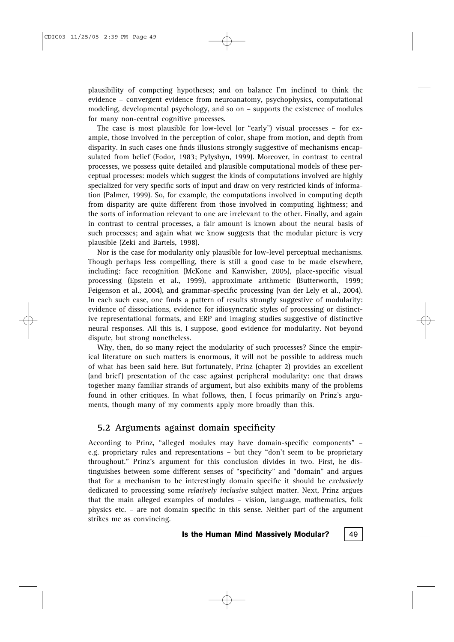plausibility of competing hypotheses; and on balance I'm inclined to think the evidence – convergent evidence from neuroanatomy, psychophysics, computational modeling, developmental psychology, and so on – supports the existence of modules for many non-central cognitive processes.

The case is most plausible for low-level (or "early") visual processes – for example, those involved in the perception of color, shape from motion, and depth from disparity. In such cases one finds illusions strongly suggestive of mechanisms encapsulated from belief (Fodor, 1983; Pylyshyn, 1999). Moreover, in contrast to central processes, we possess quite detailed and plausible computational models of these perceptual processes: models which suggest the kinds of computations involved are highly specialized for very specific sorts of input and draw on very restricted kinds of information (Palmer, 1999). So, for example, the computations involved in computing depth from disparity are quite different from those involved in computing lightness; and the sorts of information relevant to one are irrelevant to the other. Finally, and again in contrast to central processes, a fair amount is known about the neural basis of such processes; and again what we know suggests that the modular picture is very plausible (Zeki and Bartels, 1998).

Nor is the case for modularity only plausible for low-level perceptual mechanisms. Though perhaps less compelling, there is still a good case to be made elsewhere, including: face recognition (McKone and Kanwisher, 2005), place-specific visual processing (Epstein et al., 1999), approximate arithmetic (Butterworth, 1999; Feigenson et al., 2004), and grammar-specific processing (van der Lely et al., 2004). In each such case, one finds a pattern of results strongly suggestive of modularity: evidence of dissociations, evidence for idiosyncratic styles of processing or distinctive representational formats, and ERP and imaging studies suggestive of distinctive neural responses. All this is, I suppose, good evidence for modularity. Not beyond dispute, but strong nonetheless.

Why, then, do so many reject the modularity of such processes? Since the empirical literature on such matters is enormous, it will not be possible to address much of what has been said here. But fortunately, Prinz (chapter 2) provides an excellent (and brief) presentation of the case against peripheral modularity: one that draws together many familiar strands of argument, but also exhibits many of the problems found in other critiques. In what follows, then, I focus primarily on Prinz's arguments, though many of my comments apply more broadly than this.

# **5.2 Arguments against domain specificity**

According to Prinz, "alleged modules may have domain-specific components" – e.g. proprietary rules and representations – but they "don't seem to be proprietary throughout." Prinz's argument for this conclusion divides in two. First, he distinguishes between some different senses of "specificity" and "domain" and argues that for a mechanism to be interestingly domain specific it should be *exclusively* dedicated to processing some *relatively inclusive* subject matter. Next, Prinz argues that the main alleged examples of modules – vision, language, mathematics, folk physics etc. – are not domain specific in this sense. Neither part of the argument strikes me as convincing.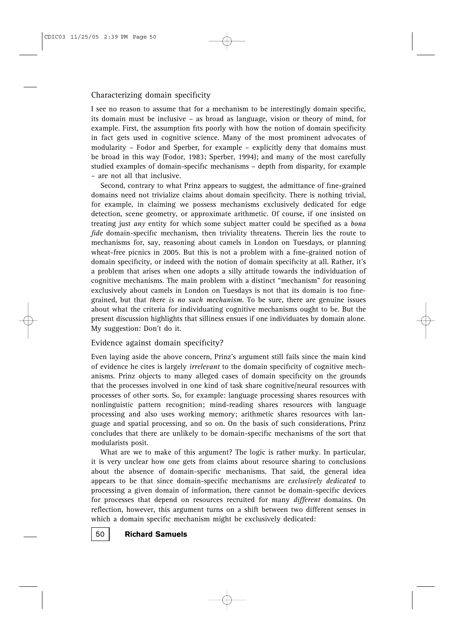### Characterizing domain specificity

I see no reason to assume that for a mechanism to be interestingly domain specific, its domain must be inclusive – as broad as language, vision or theory of mind, for example. First, the assumption fits poorly with how the notion of domain specificity in fact gets used in cognitive science. Many of the most prominent advocates of modularity – Fodor and Sperber, for example – explicitly deny that domains must be broad in this way (Fodor, 1983; Sperber, 1994); and many of the most carefully studied examples of domain-specific mechanisms – depth from disparity, for example – are not all that inclusive.

Second, contrary to what Prinz appears to suggest, the admittance of fine-grained domains need not trivialize claims about domain specificity. There is nothing trivial, for example, in claiming we possess mechanisms exclusively dedicated for edge detection, scene geometry, or approximate arithmetic. Of course, if one insisted on treating just *any* entity for which some subject matter could be specified as a *bona fide* domain-specific mechanism, then triviality threatens. Therein lies the route to mechanisms for, say, reasoning about camels in London on Tuesdays, or planning wheat-free picnics in 2005. But this is not a problem with a fine-grained notion of domain specificity, or indeed with the notion of domain specificity at all. Rather, it's a problem that arises when one adopts a silly attitude towards the individuation of cognitive mechanisms. The main problem with a distinct "mechanism" for reasoning exclusively about camels in London on Tuesdays is not that its domain is too finegrained, but that *there is no such mechanism*. To be sure, there are genuine issues about what the criteria for individuating cognitive mechanisms ought to be. But the present discussion highlights that silliness ensues if one individuates by domain alone. My suggestion: Don't do it.

#### Evidence against domain specificity?

Even laying aside the above concern, Prinz's argument still fails since the main kind of evidence he cites is largely *irrelevant* to the domain specificity of cognitive mechanisms. Prinz objects to many alleged cases of domain specificity on the grounds that the processes involved in one kind of task share cognitive/neural resources with processes of other sorts. So, for example: language processing shares resources with nonlinguistic pattern recognition; mind-reading shares resources with language processing and also uses working memory; arithmetic shares resources with language and spatial processing, and so on. On the basis of such considerations, Prinz concludes that there are unlikely to be domain-specific mechanisms of the sort that modularists posit.

What are we to make of this argument? The logic is rather murky. In particular, it is very unclear how one gets from claims about resource sharing to conclusions about the absence of domain-specific mechanisms. That said, the general idea appears to be that since domain-specific mechanisms are *exclusively dedicated* to processing a given domain of information, there cannot be domain-specific devices for processes that depend on resources recruited for many *different* domains. On reflection, however, this argument turns on a shift between two different senses in which a domain specific mechanism might be exclusively dedicated: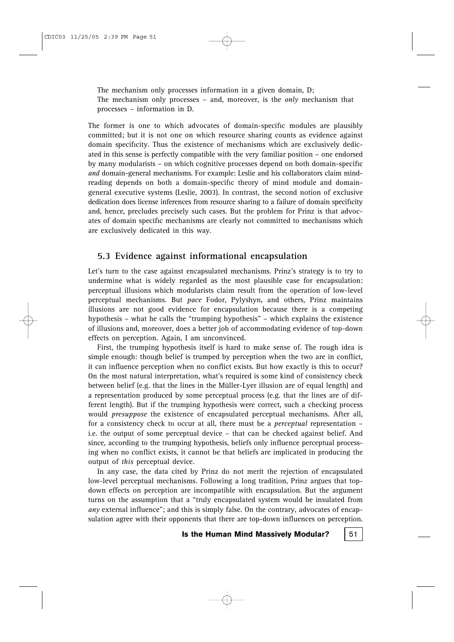The mechanism only processes information in a given domain, D; The mechanism only processes – and, moreover, is the *only* mechanism that processes – information in D.

The former is one to which advocates of domain-specific modules are plausibly committed; but it is not one on which resource sharing counts as evidence against domain specificity. Thus the existence of mechanisms which are exclusively dedicated in this sense is perfectly compatible with the very familiar position – one endorsed by many modularists – on which cognitive processes depend on both domain-specific *and* domain-general mechanisms. For example: Leslie and his collaborators claim mindreading depends on both a domain-specific theory of mind module and domaingeneral executive systems (Leslie, 2003). In contrast, the second notion of exclusive dedication does license inferences from resource sharing to a failure of domain specificity and, hence, precludes precisely such cases. But the problem for Prinz is that advocates of domain specific mechanisms are clearly not committed to mechanisms which are exclusively dedicated in this way.

# **5.3 Evidence against informational encapsulation**

Let's turn to the case against encapsulated mechanisms. Prinz's strategy is to try to undermine what is widely regarded as the most plausible case for encapsulation: perceptual illusions which modularists claim result from the operation of low-level perceptual mechanisms. But *pace* Fodor, Pylyshyn, and others, Prinz maintains illusions are not good evidence for encapsulation because there is a competing hypothesis – what he calls the "trumping hypothesis" – which explains the existence of illusions and, moreover, does a better job of accommodating evidence of top-down effects on perception. Again, I am unconvinced.

First, the trumping hypothesis itself is hard to make sense of. The rough idea is simple enough: though belief is trumped by perception when the two are in conflict, it can influence perception when no conflict exists. But how exactly is this to occur? On the most natural interpretation, what's required is some kind of consistency check between belief (e.g. that the lines in the Müller-Lyer illusion are of equal length) and a representation produced by some perceptual process (e.g. that the lines are of different length). But if the trumping hypothesis were correct, such a checking process would *presuppose* the existence of encapsulated perceptual mechanisms. After all, for a consistency check to occur at all, there must be a *perceptual* representation – i.e. the output of some perceptual device – that can be checked against belief. And since, according to the trumping hypothesis, beliefs only influence perceptual processing when no conflict exists, it cannot be that beliefs are implicated in producing the output of *this* perceptual device.

In any case, the data cited by Prinz do not merit the rejection of encapsulated low-level perceptual mechanisms. Following a long tradition, Prinz argues that topdown effects on perception are incompatible with encapsulation. But the argument turns on the assumption that a "truly encapsulated system would be insulated from *any* external influence"; and this is simply false. On the contrary, advocates of encapsulation agree with their opponents that there are top-down influences on perception.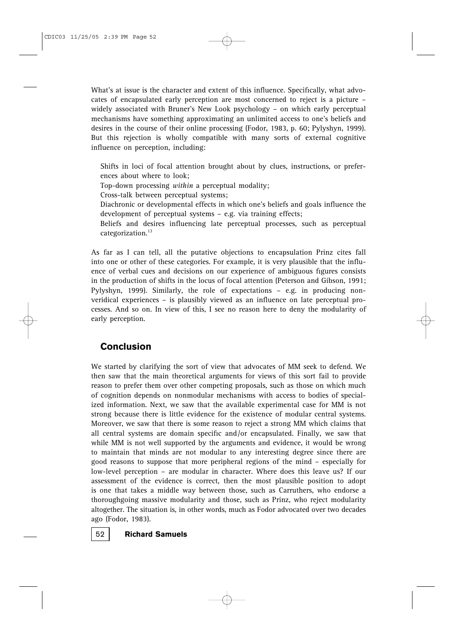What's at issue is the character and extent of this influence. Specifically, what advocates of encapsulated early perception are most concerned to reject is a picture – widely associated with Bruner's New Look psychology – on which early perceptual mechanisms have something approximating an unlimited access to one's beliefs and desires in the course of their online processing (Fodor, 1983, p. 60; Pylyshyn, 1999). But this rejection is wholly compatible with many sorts of external cognitive influence on perception, including:

Shifts in loci of focal attention brought about by clues, instructions, or preferences about where to look;

Top-down processing *within* a perceptual modality;

Cross-talk between perceptual systems;

Diachronic or developmental effects in which one's beliefs and goals influence the development of perceptual systems – e.g. via training effects;

Beliefs and desires influencing late perceptual processes, such as perceptual categorization.<sup>13</sup>

As far as I can tell, all the putative objections to encapsulation Prinz cites fall into one or other of these categories. For example, it is very plausible that the influence of verbal cues and decisions on our experience of ambiguous figures consists in the production of shifts in the locus of focal attention (Peterson and Gibson, 1991; Pylyshyn, 1999). Similarly, the role of expectations – e.g. in producing nonveridical experiences – is plausibly viewed as an influence on late perceptual processes. And so on. In view of this, I see no reason here to deny the modularity of early perception.

# **Conclusion**

We started by clarifying the sort of view that advocates of MM seek to defend. We then saw that the main theoretical arguments for views of this sort fail to provide reason to prefer them over other competing proposals, such as those on which much of cognition depends on nonmodular mechanisms with access to bodies of specialized information. Next, we saw that the available experimental case for MM is not strong because there is little evidence for the existence of modular central systems. Moreover, we saw that there is some reason to reject a strong MM which claims that all central systems are domain specific and/or encapsulated. Finally, we saw that while MM is not well supported by the arguments and evidence, it would be wrong to maintain that minds are not modular to any interesting degree since there are good reasons to suppose that more peripheral regions of the mind – especially for low-level perception – are modular in character. Where does this leave us? If our assessment of the evidence is correct, then the most plausible position to adopt is one that takes a middle way between those, such as Carruthers, who endorse a thoroughgoing massive modularity and those, such as Prinz, who reject modularity altogether. The situation is, in other words, much as Fodor advocated over two decades ago (Fodor, 1983).

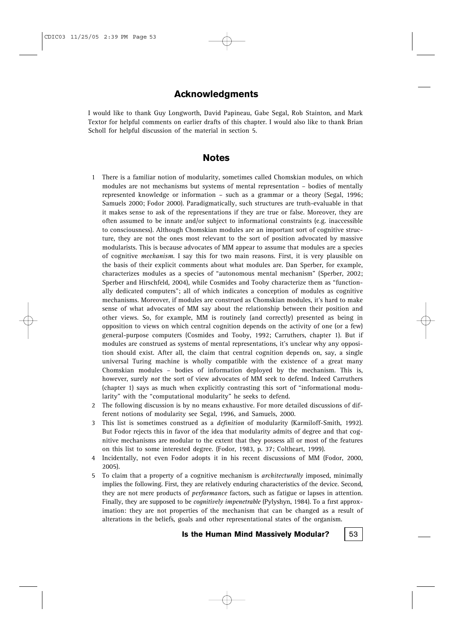# **Acknowledgments**

I would like to thank Guy Longworth, David Papineau, Gabe Segal, Rob Stainton, and Mark Textor for helpful comments on earlier drafts of this chapter. I would also like to thank Brian Scholl for helpful discussion of the material in section 5.

# **Notes**

- 1 There is a familiar notion of modularity, sometimes called Chomskian modules, on which modules are not mechanisms but systems of mental representation – bodies of mentally represented knowledge or information – such as a grammar or a theory (Segal, 1996; Samuels 2000; Fodor 2000). Paradigmatically, such structures are truth-evaluable in that it makes sense to ask of the representations if they are true or false. Moreover, they are often assumed to be innate and/or subject to informational constraints (e.g. inaccessible to consciousness). Although Chomskian modules are an important sort of cognitive structure, they are not the ones most relevant to the sort of position advocated by massive modularists. This is because advocates of MM appear to assume that modules are a species of cognitive *mechanism*. I say this for two main reasons. First, it is very plausible on the basis of their explicit comments about what modules are. Dan Sperber, for example, characterizes modules as a species of "autonomous mental mechanism" (Sperber, 2002; Sperber and Hirschfeld, 2004), while Cosmides and Tooby characterize them as "functionally dedicated computers"; all of which indicates a conception of modules as cognitive mechanisms. Moreover, if modules are construed as Chomskian modules, it's hard to make sense of what advocates of MM say about the relationship between their position and other views. So, for example, MM is routinely (and correctly) presented as being in opposition to views on which central cognition depends on the activity of one (or a few) general-purpose computers (Cosmides and Tooby, 1992; Carruthers, chapter 1). But if modules are construed as systems of mental representations, it's unclear why any opposition should exist. After all, the claim that central cognition depends on, say, a single universal Turing machine is wholly compatible with the existence of a great many Chomskian modules – bodies of information deployed by the mechanism. This is, however, surely *not* the sort of view advocates of MM seek to defend. Indeed Carruthers (chapter 1) says as much when explicitly contrasting this sort of "informational modularity" with the "computational modularity" he seeks to defend.
- 2 The following discussion is by no means exhaustive. For more detailed discussions of different notions of modularity see Segal, 1996, and Samuels, 2000.
- 3 This list is sometimes construed as a *definition* of modularity (Karmiloff-Smith, 1992). But Fodor rejects this in favor of the idea that modularity admits of degree and that cognitive mechanisms are modular to the extent that they possess all or most of the features on this list to some interested degree. (Fodor, 1983, p. 37; Coltheart, 1999).
- 4 Incidentally, not even Fodor adopts it in his recent discussions of MM (Fodor, 2000, 2005).
- 5 To claim that a property of a cognitive mechanism is *architecturally* imposed, minimally implies the following. First, they are relatively enduring characteristics of the device. Second, they are not mere products of *performance* factors, such as fatigue or lapses in attention. Finally, they are supposed to be *cognitively impenetrable* (Pylyshyn, 1984). To a first approximation: they are not properties of the mechanism that can be changed as a result of alterations in the beliefs, goals and other representational states of the organism.

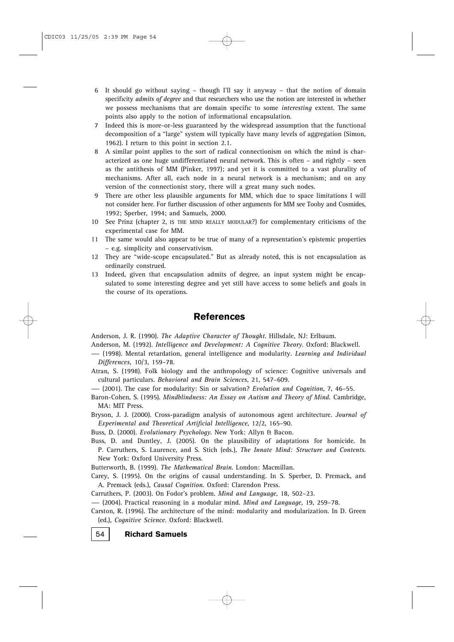- 6 It should go without saying though I'll say it anyway that the notion of domain specificity *admits of degree* and that researchers who use the notion are interested in whether we possess mechanisms that are domain specific to some *interesting* extent. The same points also apply to the notion of informational encapsulation.
- 7 Indeed this is more-or-less guaranteed by the widespread assumption that the functional decomposition of a "large" system will typically have many levels of aggregation (Simon, 1962). I return to this point in section 2.1.
- 8 A similar point applies to the sort of radical connectionism on which the mind is characterized as one huge undifferentiated neural network. This is often – and rightly – seen as the antithesis of MM (Pinker, 1997); and yet it is committed to a vast plurality of mechanisms. After all, each node in a neural network is a mechanism; and on any version of the connectionist story, there will a great many such nodes.
- 9 There are other less plausible arguments for MM, which due to space limitations I will not consider here. For further discussion of other arguments for MM see Tooby and Cosmides, 1992; Sperber, 1994; and Samuels, 2000.
- 10 See Prinz (chapter 2, IS THE MIND REALLY MODULAR?) for complementary criticisms of the experimental case for MM.
- 11 The same would also appear to be true of many of a representation's epistemic properties – e.g. simplicity and conservativism.
- 12 They are "wide-scope encapsulated." But as already noted, this is not encapsulation as ordinarily construed.
- 13 Indeed, given that encapsulation admits of degree, an input system might be encapsulated to some interesting degree and yet still have access to some beliefs and goals in the course of its operations.

# **References**

Anderson, J. R. (1990). *The Adaptive Character of Thought*. Hillsdale, NJ: Erlbaum.

- Anderson, M. (1992). *Intelligence and Development: A Cognitive Theory*. Oxford: Blackwell.
- —— (1998). Mental retardation, general intelligence and modularity. *Learning and Individual Differences,* 10/3, 159–78*.*
- Atran, S. (1998). Folk biology and the anthropology of science: Cognitive universals and cultural particulars. *Behavioral and Brain Sciences*, 21, 547–609.
- —— (2001). The case for modularity: Sin or salvation? *Evolution and Cognition*, 7, 46–55.
- Baron-Cohen, S. (1995). *Mindblindness: An Essay on Autism and Theory of Mind.* Cambridge, MA: MIT Press.
- Bryson, J. J. (2000). Cross-paradigm analysis of autonomous agent architecture. *Journal of Experimental and Theoretical Artificial Intelligence*, 12/2, 165–90.
- Buss, D. (2000). *Evolutionary Psychology*. New York: Allyn & Bacon.
- Buss, D. and Duntley, J. (2005). On the plausibility of adaptations for homicide. In P. Carruthers, S. Laurence, and S. Stich (eds.), *The Innate Mind: Structure and Contents*. New York: Oxford University Press.
- Butterworth, B. (1999). *The Mathematical Brain*. London: Macmillan.
- Carey, S. (1995). On the origins of causal understanding. In S. Sperber, D. Premack, and A. Premack (eds.), *Causal Cognition*. Oxford: Clarendon Press.
- Carruthers, P. (2003). On Fodor's problem. *Mind and Language*, 18, 502–23.
- —— (2004). Practical reasoning in a modular mind. *Mind and Language*, 19, 259–78.
- Carston, R. (1996). The architecture of the mind: modularity and modularization. In D. Green (ed.), *Cognitive Science*. Oxford: Blackwell.

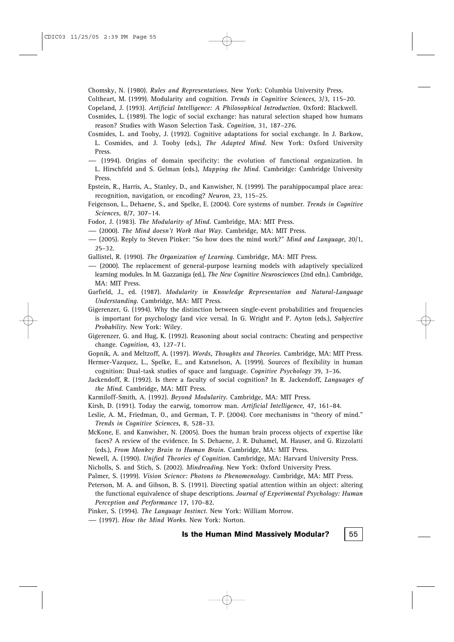- Chomsky, N. (1980). *Rules and Representations*. New York: Columbia University Press.
- Coltheart, M. (1999). Modularity and cognition. *Trends in Cognitive Sciences*, 3/3, 115–20.
- Copeland, J. (1993). *Artificial Intelligence: A Philosophical Introduction*. Oxford: Blackwell.
- Cosmides, L. (1989). The logic of social exchange: has natural selection shaped how humans reason? Studies with Wason Selection Task. *Cognition*, 31, 187–276.
- Cosmides, L. and Tooby, J. (1992). Cognitive adaptations for social exchange. In J. Barkow, L. Cosmides, and J. Tooby (eds.), *The Adapted Mind*. New York: Oxford University Press.
- —— (1994). Origins of domain specificity: the evolution of functional organization. In L. Hirschfeld and S. Gelman (eds.), *Mapping the Mind.* Cambridge: Cambridge University Press.
- Epstein, R., Harris, A., Stanley, D., and Kanwisher, N. (1999). The parahippocampal place area: recognition, navigation, or encoding? *Neuron*, 23, 115–25.
- Feigenson, L., Dehaene, S., and Spelke, E. (2004). Core systems of number. *Trends in Cognitive Sciences,* 8/7, 307–14.
- Fodor, J. (1983). *The Modularity of Mind*. Cambridge, MA: MIT Press.
- —— (2000). *The Mind doesn't Work that Way.* Cambridge, MA: MIT Press.
- —— (2005). Reply to Steven Pinker: "So how does the mind work?" *Mind and Language*, 20/1, 25–32.
- Gallistel, R. (1990). *The Organization of Learning*. Cambridge, MA: MIT Press.
- —— (2000). The replacement of general-purpose learning models with adaptively specialized learning modules. In M. Gazzaniga (ed.), *The New Cognitive Neurosciences* (2nd edn.). Cambridge, MA: MIT Press.
- Garfield, J., ed. (1987). *Modularity in Knowledge Representation and Natural-Language Understanding.* Cambridge, MA: MIT Press.
- Gigerenzer, G. (1994). Why the distinction between single-event probabilities and frequencies is important for psychology (and vice versa). In G. Wright and P. Ayton (eds.), *Subjective Probability*. New York: Wiley.
- Gigerenzer, G. and Hug, K. (1992). Reasoning about social contracts: Cheating and perspective change. *Cognition*, 43, 127–71.

Gopnik, A. and Meltzoff, A. (1997). *Words, Thoughts and Theories.* Cambridge, MA: MIT Press.

Hermer-Vazquez, L., Spelke, E., and Katsnelson, A. (1999). Sources of flexibility in human cognition: Dual-task studies of space and language. *Cognitive Psychology* 39, 3–36.

Jackendoff, R. (1992). Is there a faculty of social cognition? In R. Jackendoff, *Languages of the Mind*. Cambridge, MA: MIT Press.

- Karmiloff-Smith, A. (1992). *Beyond Modularity*. Cambridge, MA: MIT Press.
- Kirsh, D. (1991). Today the earwig, tomorrow man. *Artificial Intelligence,* 47, 161–84.
- Leslie, A. M., Friedman, O., and German, T. P. (2004). Core mechanisms in "theory of mind." *Trends in Cognitive Sciences,* 8*,* 528–33.
- McKone, E. and Kanwisher, N. (2005). Does the human brain process objects of expertise like faces? A review of the evidence. In S. Dehaene, J. R. Duhamel, M. Hauser, and G. Rizzolatti (eds.), *From Monkey Brain to Human Brain.* Cambridge, MA: MIT Press.

Newell, A. (1990). *Unified Theories of Cognition*. Cambridge, MA: Harvard University Press. Nicholls, S. and Stich, S. (2002). *Mindreading*. New York: Oxford University Press.

- Palmer, S. (1999). *Vision Science: Photons to Phenomenology*. Cambridge, MA: MIT Press.
- Peterson, M. A. and Gibson, B. S. (1991). Directing spatial attention within an object: altering the functional equivalence of shape descriptions. *Journal of Experimental Psychology: Human Perception and Performance* 17, 170–82.
- Pinker, S. (1994). *The Language Instinct*. New York: William Morrow.

—— (1997). *How the Mind Works*. New York: Norton.